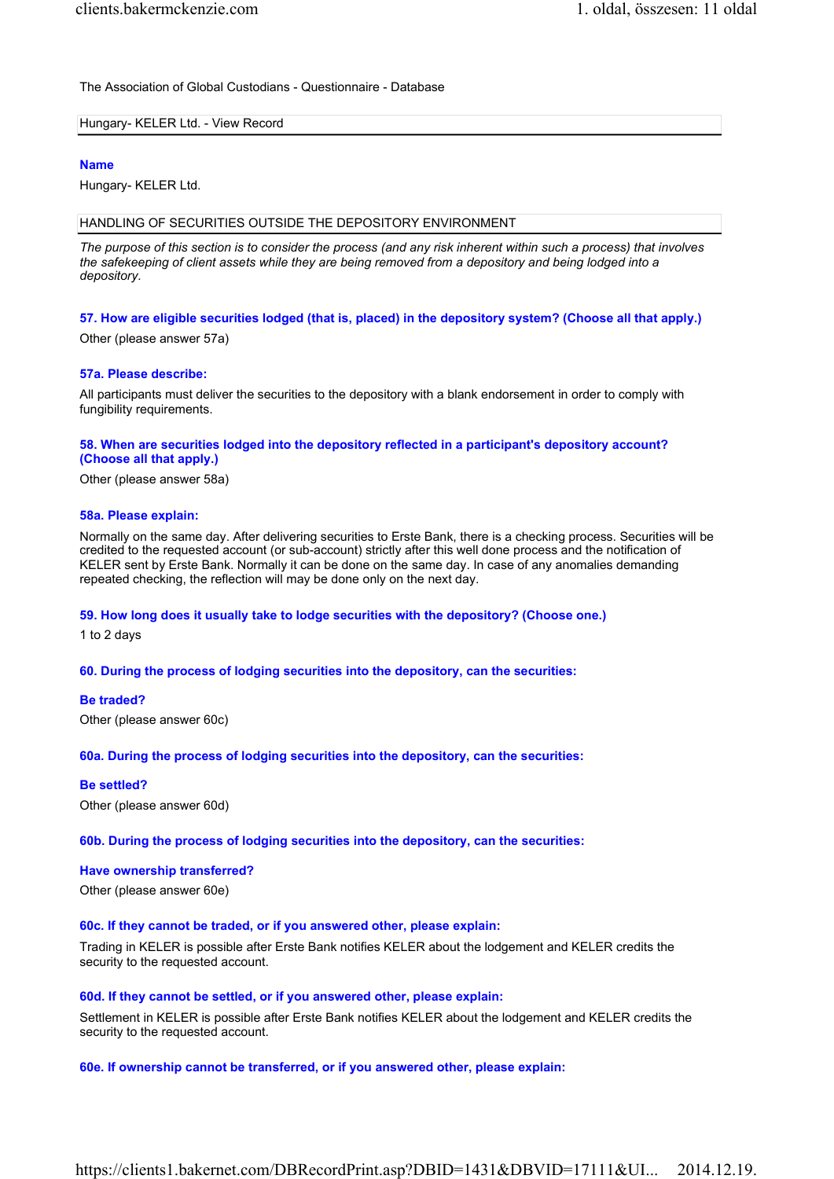The Association of Global Custodians - Questionnaire - Database

#### Hungary- KELER Ltd. - View Record

#### Name

Hungary- KELER Ltd.

#### HANDLING OF SECURITIES OUTSIDE THE DEPOSITORY ENVIRONMENT

The purpose of this section is to consider the process (and any risk inherent within such a process) that involves the safekeeping of client assets while they are being removed from a depository and being lodged into a depository.

# 57. How are eligible securities lodged (that is, placed) in the depository system? (Choose all that apply.)

Other (please answer 57a)

#### 57a. Please describe:

All participants must deliver the securities to the depository with a blank endorsement in order to comply with fungibility requirements.

## 58. When are securities lodged into the depository reflected in a participant's depository account? (Choose all that apply.)

Other (please answer 58a)

#### 58a. Please explain:

Normally on the same day. After delivering securities to Erste Bank, there is a checking process. Securities will be credited to the requested account (or sub-account) strictly after this well done process and the notification of KELER sent by Erste Bank. Normally it can be done on the same day. In case of any anomalies demanding repeated checking, the reflection will may be done only on the next day.

## 59. How long does it usually take to lodge securities with the depository? (Choose one.)

1 to 2 days

## 60. During the process of lodging securities into the depository, can the securities:

## Be traded?

Other (please answer 60c)

## 60a. During the process of lodging securities into the depository, can the securities:

#### Be settled?

Other (please answer 60d)

## 60b. During the process of lodging securities into the depository, can the securities:

#### Have ownership transferred?

Other (please answer 60e)

# 60c. If they cannot be traded, or if you answered other, please explain:

Trading in KELER is possible after Erste Bank notifies KELER about the lodgement and KELER credits the security to the requested account.

#### 60d. If they cannot be settled, or if you answered other, please explain:

Settlement in KELER is possible after Erste Bank notifies KELER about the lodgement and KELER credits the security to the requested account.

## 60e. If ownership cannot be transferred, or if you answered other, please explain: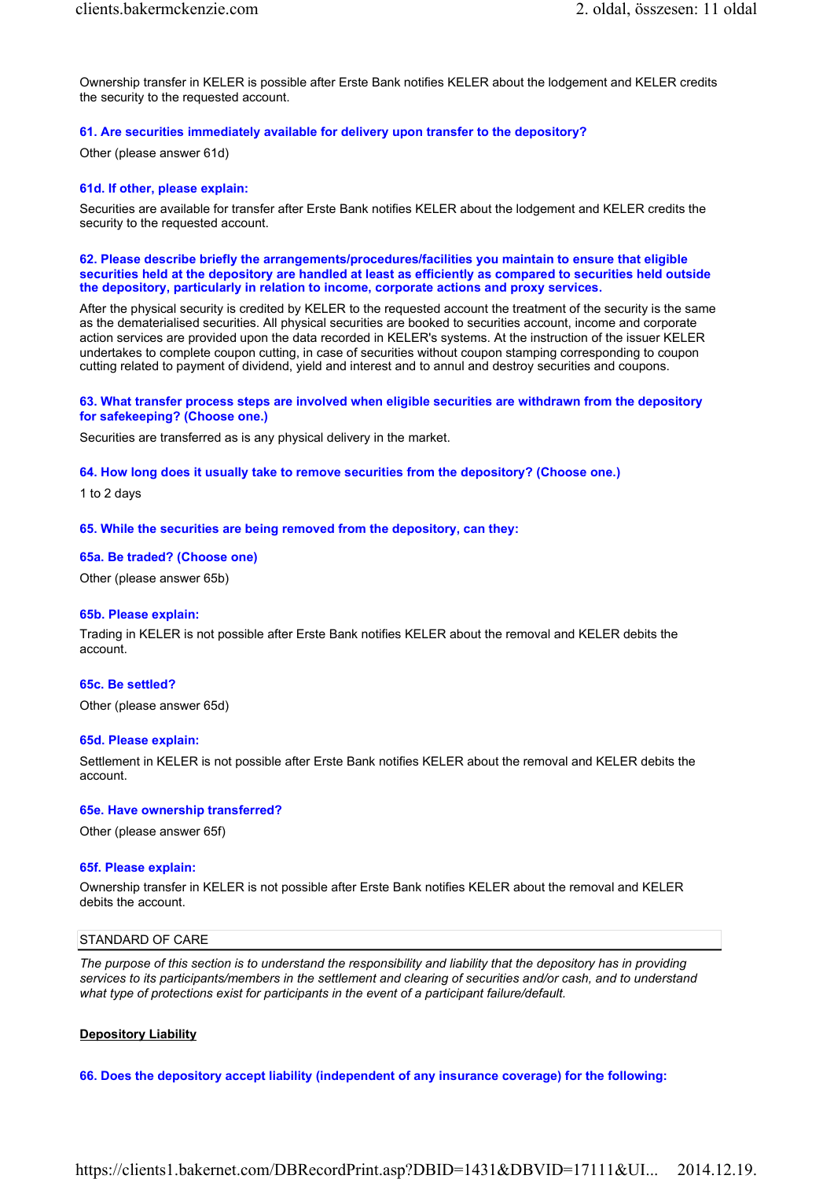Ownership transfer in KELER is possible after Erste Bank notifies KELER about the lodgement and KELER credits the security to the requested account.

# 61. Are securities immediately available for delivery upon transfer to the depository?

Other (please answer 61d)

#### 61d. If other, please explain:

Securities are available for transfer after Erste Bank notifies KELER about the lodgement and KELER credits the security to the requested account.

#### 62. Please describe briefly the arrangements/procedures/facilities you maintain to ensure that eligible securities held at the depository are handled at least as efficiently as compared to securities held outside the depository, particularly in relation to income, corporate actions and proxy services.

After the physical security is credited by KELER to the requested account the treatment of the security is the same as the dematerialised securities. All physical securities are booked to securities account, income and corporate action services are provided upon the data recorded in KELER's systems. At the instruction of the issuer KELER undertakes to complete coupon cutting, in case of securities without coupon stamping corresponding to coupon cutting related to payment of dividend, yield and interest and to annul and destroy securities and coupons.

#### 63. What transfer process steps are involved when eligible securities are withdrawn from the depository for safekeeping? (Choose one.)

Securities are transferred as is any physical delivery in the market.

#### 64. How long does it usually take to remove securities from the depository? (Choose one.)

1 to 2 days

#### 65. While the securities are being removed from the depository, can they:

#### 65a. Be traded? (Choose one)

Other (please answer 65b)

#### 65b. Please explain:

Trading in KELER is not possible after Erste Bank notifies KELER about the removal and KELER debits the account.

## 65c. Be settled?

Other (please answer 65d)

#### 65d. Please explain:

Settlement in KELER is not possible after Erste Bank notifies KELER about the removal and KELER debits the account.

#### 65e. Have ownership transferred?

Other (please answer 65f)

#### 65f. Please explain:

Ownership transfer in KELER is not possible after Erste Bank notifies KELER about the removal and KELER debits the account.

#### STANDARD OF CARE

The purpose of this section is to understand the responsibility and liability that the depository has in providing services to its participants/members in the settlement and clearing of securities and/or cash, and to understand what type of protections exist for participants in the event of a participant failure/default.

#### Depository Liability

#### 66. Does the depository accept liability (independent of any insurance coverage) for the following:

https://clients1.bakernet.com/DBRecordPrint.asp?DBID=1431&DBVID=17111&UI... 2014.12.19.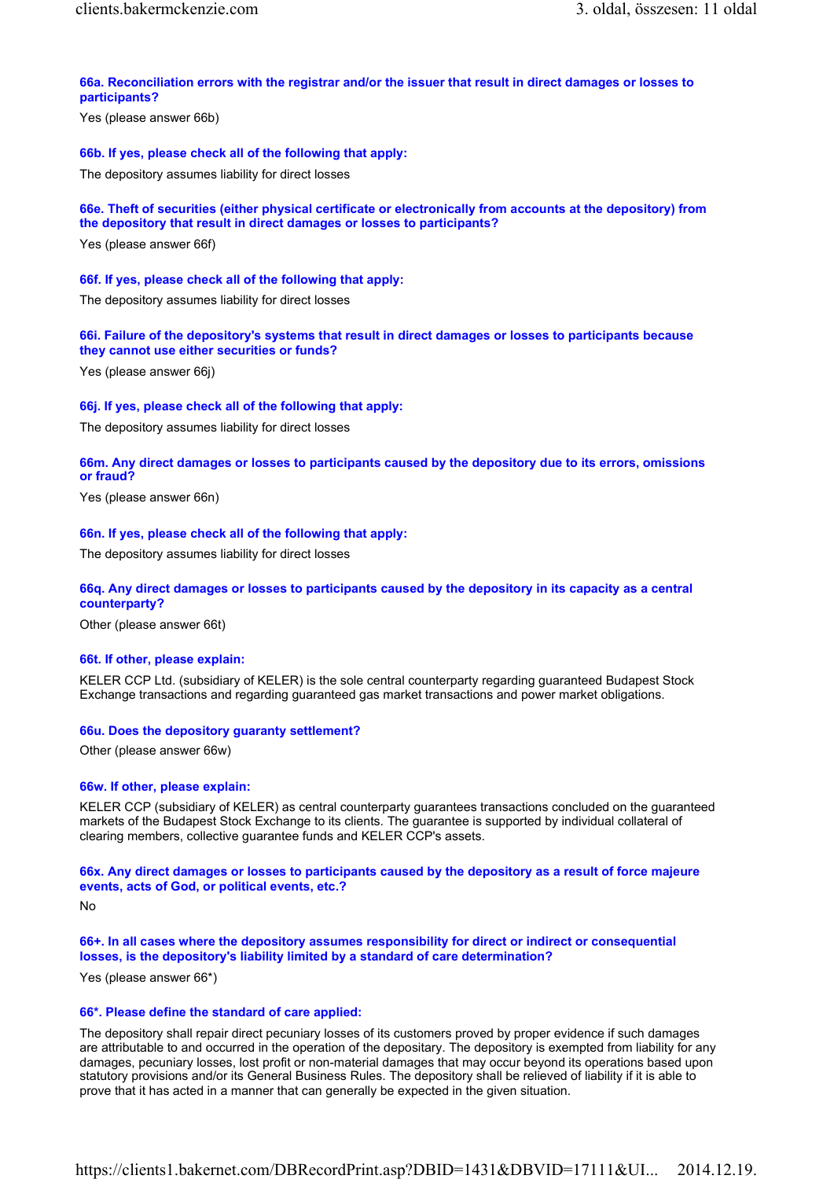# 66a. Reconciliation errors with the registrar and/or the issuer that result in direct damages or losses to participants?

Yes (please answer 66b)

#### 66b. If yes, please check all of the following that apply:

The depository assumes liability for direct losses

# 66e. Theft of securities (either physical certificate or electronically from accounts at the depository) from the depository that result in direct damages or losses to participants?

Yes (please answer 66f)

#### 66f. If yes, please check all of the following that apply:

The depository assumes liability for direct losses

# 66i. Failure of the depository's systems that result in direct damages or losses to participants because they cannot use either securities or funds?

Yes (please answer 66j)

#### 66j. If yes, please check all of the following that apply:

The depository assumes liability for direct losses

## 66m. Any direct damages or losses to participants caused by the depository due to its errors, omissions or fraud?

Yes (please answer 66n)

#### 66n. If yes, please check all of the following that apply:

The depository assumes liability for direct losses

## 66q. Any direct damages or losses to participants caused by the depository in its capacity as a central counterparty?

Other (please answer 66t)

#### 66t. If other, please explain:

KELER CCP Ltd. (subsidiary of KELER) is the sole central counterparty regarding guaranteed Budapest Stock Exchange transactions and regarding guaranteed gas market transactions and power market obligations.

## 66u. Does the depository guaranty settlement?

Other (please answer 66w)

#### 66w. If other, please explain:

KELER CCP (subsidiary of KELER) as central counterparty guarantees transactions concluded on the guaranteed markets of the Budapest Stock Exchange to its clients. The guarantee is supported by individual collateral of clearing members, collective guarantee funds and KELER CCP's assets.

## 66x. Any direct damages or losses to participants caused by the depository as a result of force majeure events, acts of God, or political events, etc.?

No

# 66+. In all cases where the depository assumes responsibility for direct or indirect or consequential losses, is the depository's liability limited by a standard of care determination?

Yes (please answer 66\*)

#### 66\*. Please define the standard of care applied:

The depository shall repair direct pecuniary losses of its customers proved by proper evidence if such damages are attributable to and occurred in the operation of the depositary. The depository is exempted from liability for any damages, pecuniary losses, lost profit or non-material damages that may occur beyond its operations based upon statutory provisions and/or its General Business Rules. The depository shall be relieved of liability if it is able to prove that it has acted in a manner that can generally be expected in the given situation.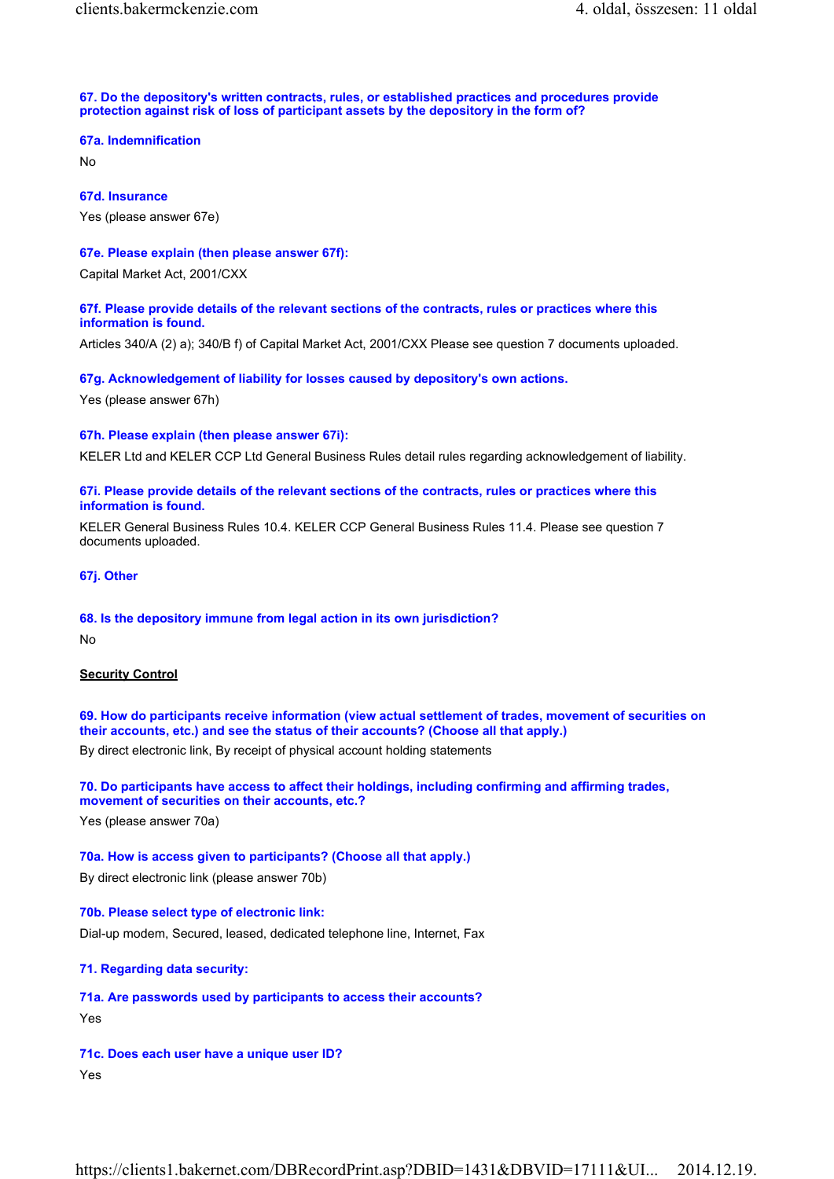#### 67. Do the depository's written contracts, rules, or established practices and procedures provide protection against risk of loss of participant assets by the depository in the form of?

#### 67a. Indemnification

No

67d. Insurance Yes (please answer 67e)

# 67e. Please explain (then please answer 67f):

Capital Market Act, 2001/CXX

# 67f. Please provide details of the relevant sections of the contracts, rules or practices where this information is found.

Articles 340/A (2) a); 340/B f) of Capital Market Act, 2001/CXX Please see question 7 documents uploaded.

# 67g. Acknowledgement of liability for losses caused by depository's own actions.

Yes (please answer 67h)

# 67h. Please explain (then please answer 67i):

KELER Ltd and KELER CCP Ltd General Business Rules detail rules regarding acknowledgement of liability.

# 67i. Please provide details of the relevant sections of the contracts, rules or practices where this information is found.

KELER General Business Rules 10.4. KELER CCP General Business Rules 11.4. Please see question 7 documents uploaded.

67j. Other

# 68. Is the depository immune from legal action in its own jurisdiction?

No

# **Security Control**

69. How do participants receive information (view actual settlement of trades, movement of securities on their accounts, etc.) and see the status of their accounts? (Choose all that apply.)

By direct electronic link, By receipt of physical account holding statements

70. Do participants have access to affect their holdings, including confirming and affirming trades, movement of securities on their accounts, etc.?

Yes (please answer 70a)

# 70a. How is access given to participants? (Choose all that apply.)

By direct electronic link (please answer 70b)

## 70b. Please select type of electronic link:

Dial-up modem, Secured, leased, dedicated telephone line, Internet, Fax

# 71. Regarding data security:

# 71a. Are passwords used by participants to access their accounts?

Yes

# 71c. Does each user have a unique user ID?

Yes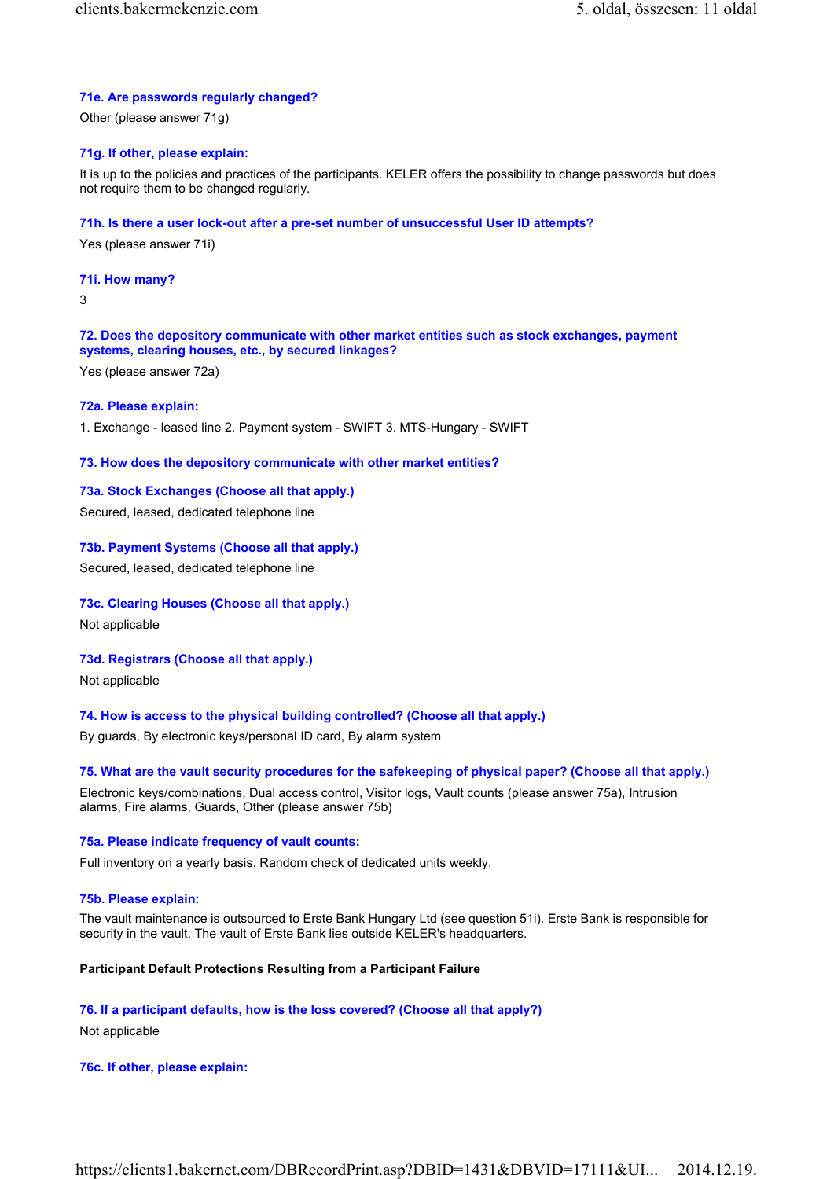## 71e. Are passwords regularly changed?

Other (please answer 71g)

## 71g. If other, please explain:

It is up to the policies and practices of the participants. KELER offers the possibility to change passwords but does not require them to be changed regularly.

#### 71h. Is there a user lock-out after a pre-set number of unsuccessful User ID attempts?

Yes (please answer 71i)

## 71i. How many?

3

# 72. Does the depository communicate with other market entities such as stock exchanges, payment systems, clearing houses, etc., by secured linkages?

Yes (please answer 72a)

## 72a. Please explain:

1. Exchange - leased line 2. Payment system - SWIFT 3. MTS-Hungary - SWIFT

## 73. How does the depository communicate with other market entities?

# 73a. Stock Exchanges (Choose all that apply.)

Secured, leased, dedicated telephone line

## 73b. Payment Systems (Choose all that apply.)

Secured, leased, dedicated telephone line

## 73c. Clearing Houses (Choose all that apply.)

Not applicable

# 73d. Registrars (Choose all that apply.)

Not applicable

# 74. How is access to the physical building controlled? (Choose all that apply.)

By guards, By electronic keys/personal ID card, By alarm system

## 75. What are the vault security procedures for the safekeeping of physical paper? (Choose all that apply.)

Electronic keys/combinations, Dual access control, Visitor logs, Vault counts (please answer 75a), Intrusion alarms, Fire alarms, Guards, Other (please answer 75b)

#### 75a. Please indicate frequency of vault counts:

Full inventory on a yearly basis. Random check of dedicated units weekly.

#### 75b. Please explain:

The vault maintenance is outsourced to Erste Bank Hungary Ltd (see question 51i). Erste Bank is responsible for security in the vault. The vault of Erste Bank lies outside KELER's headquarters.

## Participant Default Protections Resulting from a Participant Failure

## 76. If a participant defaults, how is the loss covered? (Choose all that apply?)

Not applicable

## 76c. If other, please explain: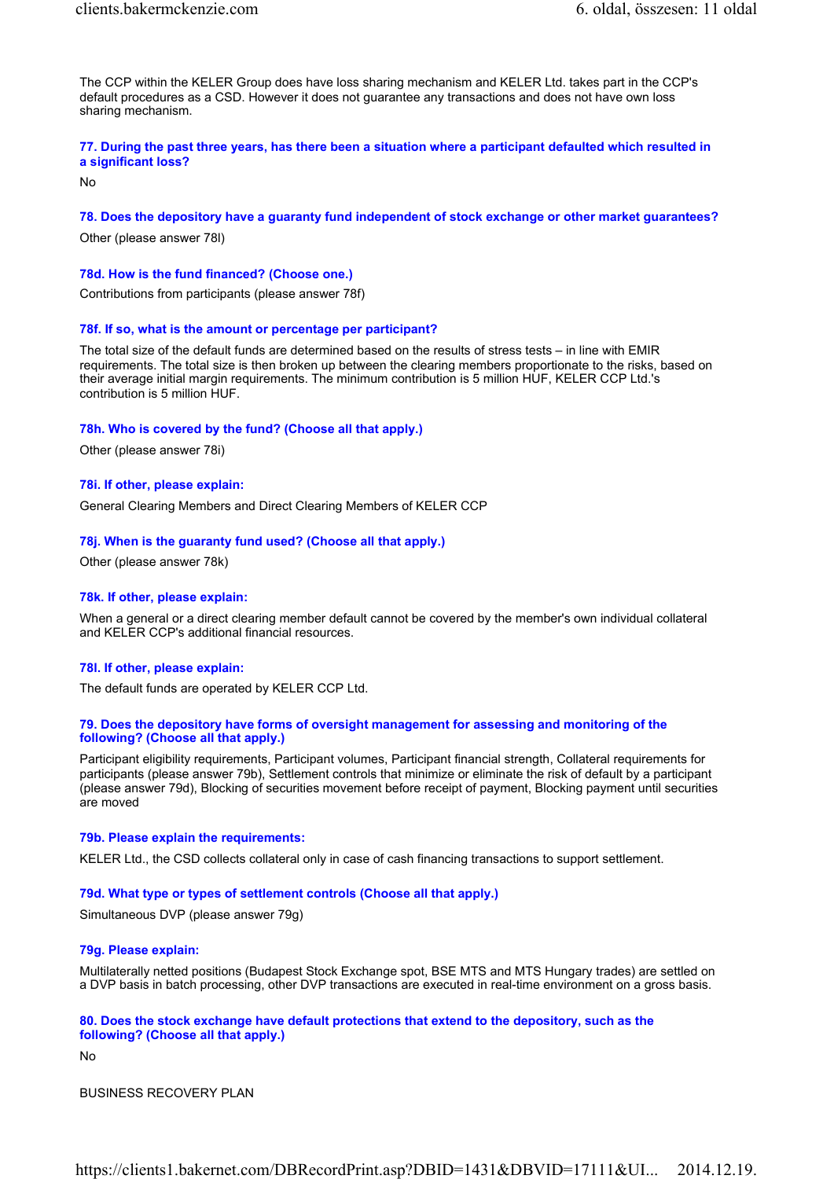The CCP within the KELER Group does have loss sharing mechanism and KELER Ltd. takes part in the CCP's default procedures as a CSD. However it does not guarantee any transactions and does not have own loss sharing mechanism.

## 77. During the past three years, has there been a situation where a participant defaulted which resulted in a significant loss?

No

## 78. Does the depository have a guaranty fund independent of stock exchange or other market guarantees?

Other (please answer 78l)

#### 78d. How is the fund financed? (Choose one.)

Contributions from participants (please answer 78f)

## 78f. If so, what is the amount or percentage per participant?

The total size of the default funds are determined based on the results of stress tests – in line with EMIR requirements. The total size is then broken up between the clearing members proportionate to the risks, based on their average initial margin requirements. The minimum contribution is 5 million HUF, KELER CCP Ltd.'s contribution is 5 million HUF.

#### 78h. Who is covered by the fund? (Choose all that apply.)

Other (please answer 78i)

#### 78i. If other, please explain:

General Clearing Members and Direct Clearing Members of KELER CCP

#### 78j. When is the guaranty fund used? (Choose all that apply.)

Other (please answer 78k)

#### 78k. If other, please explain:

When a general or a direct clearing member default cannot be covered by the member's own individual collateral and KELER CCP's additional financial resources.

#### 78l. If other, please explain:

The default funds are operated by KELER CCP Ltd.

#### 79. Does the depository have forms of oversight management for assessing and monitoring of the following? (Choose all that apply.)

Participant eligibility requirements, Participant volumes, Participant financial strength, Collateral requirements for participants (please answer 79b), Settlement controls that minimize or eliminate the risk of default by a participant (please answer 79d), Blocking of securities movement before receipt of payment, Blocking payment until securities are moved

#### 79b. Please explain the requirements:

KELER Ltd., the CSD collects collateral only in case of cash financing transactions to support settlement.

## 79d. What type or types of settlement controls (Choose all that apply.)

Simultaneous DVP (please answer 79g)

## 79g. Please explain:

Multilaterally netted positions (Budapest Stock Exchange spot, BSE MTS and MTS Hungary trades) are settled on a DVP basis in batch processing, other DVP transactions are executed in real-time environment on a gross basis.

#### 80. Does the stock exchange have default protections that extend to the depository, such as the following? (Choose all that apply.)

No

BUSINESS RECOVERY PLAN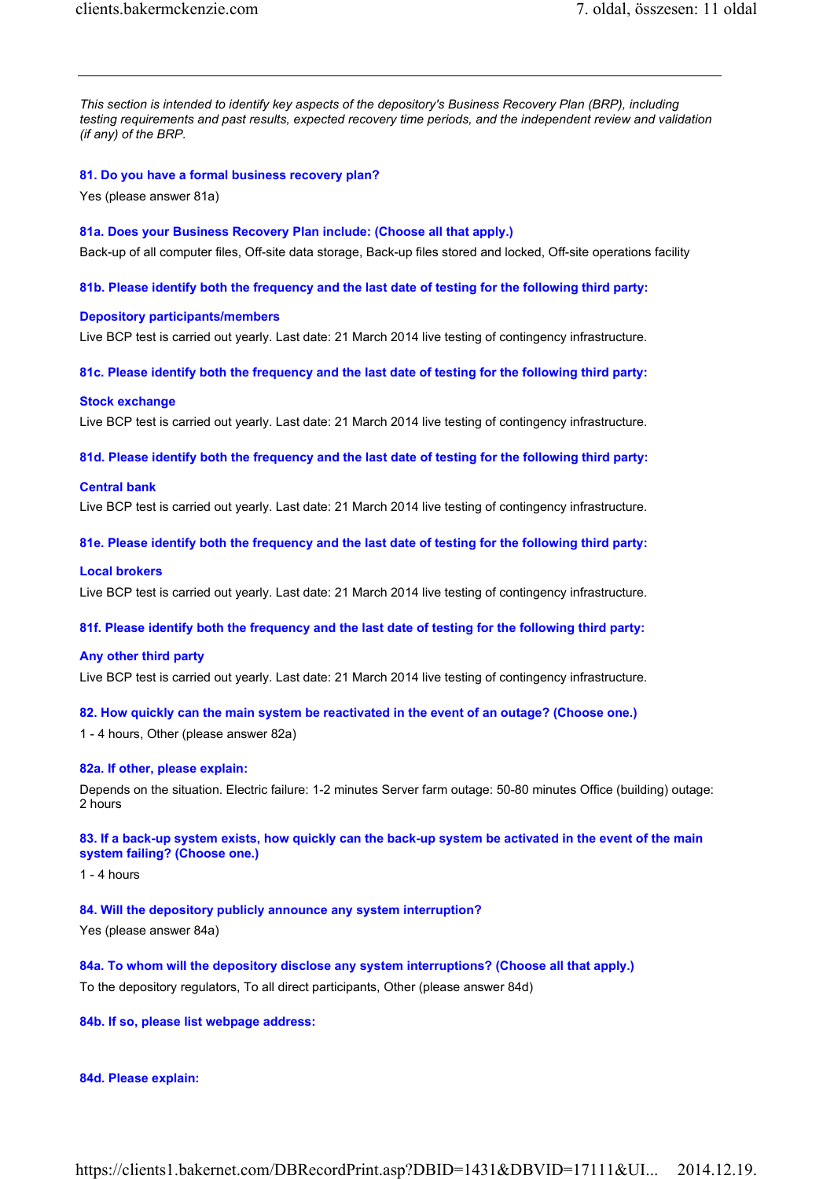This section is intended to identify key aspects of the depository's Business Recovery Plan (BRP), including testing requirements and past results, expected recovery time periods, and the independent review and validation (if any) of the BRP.

## 81. Do you have a formal business recovery plan?

Yes (please answer 81a)

#### 81a. Does your Business Recovery Plan include: (Choose all that apply.)

Back-up of all computer files, Off-site data storage, Back-up files stored and locked, Off-site operations facility

#### 81b. Please identify both the frequency and the last date of testing for the following third party:

#### Depository participants/members

Live BCP test is carried out yearly. Last date: 21 March 2014 live testing of contingency infrastructure.

81c. Please identify both the frequency and the last date of testing for the following third party:

#### Stock exchange

Live BCP test is carried out yearly. Last date: 21 March 2014 live testing of contingency infrastructure.

81d. Please identify both the frequency and the last date of testing for the following third party:

#### Central bank

Live BCP test is carried out yearly. Last date: 21 March 2014 live testing of contingency infrastructure.

#### 81e. Please identify both the frequency and the last date of testing for the following third party:

# Local brokers

Live BCP test is carried out yearly. Last date: 21 March 2014 live testing of contingency infrastructure.

#### 81f. Please identify both the frequency and the last date of testing for the following third party:

## Any other third party

Live BCP test is carried out yearly. Last date: 21 March 2014 live testing of contingency infrastructure.

## 82. How quickly can the main system be reactivated in the event of an outage? (Choose one.)

1 - 4 hours, Other (please answer 82a)

#### 82a. If other, please explain:

Depends on the situation. Electric failure: 1-2 minutes Server farm outage: 50-80 minutes Office (building) outage: 2 hours

## 83. If a back-up system exists, how quickly can the back-up system be activated in the event of the main system failing? (Choose one.)

 $1 - 4$  hours

# 84. Will the depository publicly announce any system interruption?

Yes (please answer 84a)

84a. To whom will the depository disclose any system interruptions? (Choose all that apply.) To the depository regulators, To all direct participants, Other (please answer 84d)

# 84b. If so, please list webpage address:

#### 84d. Please explain: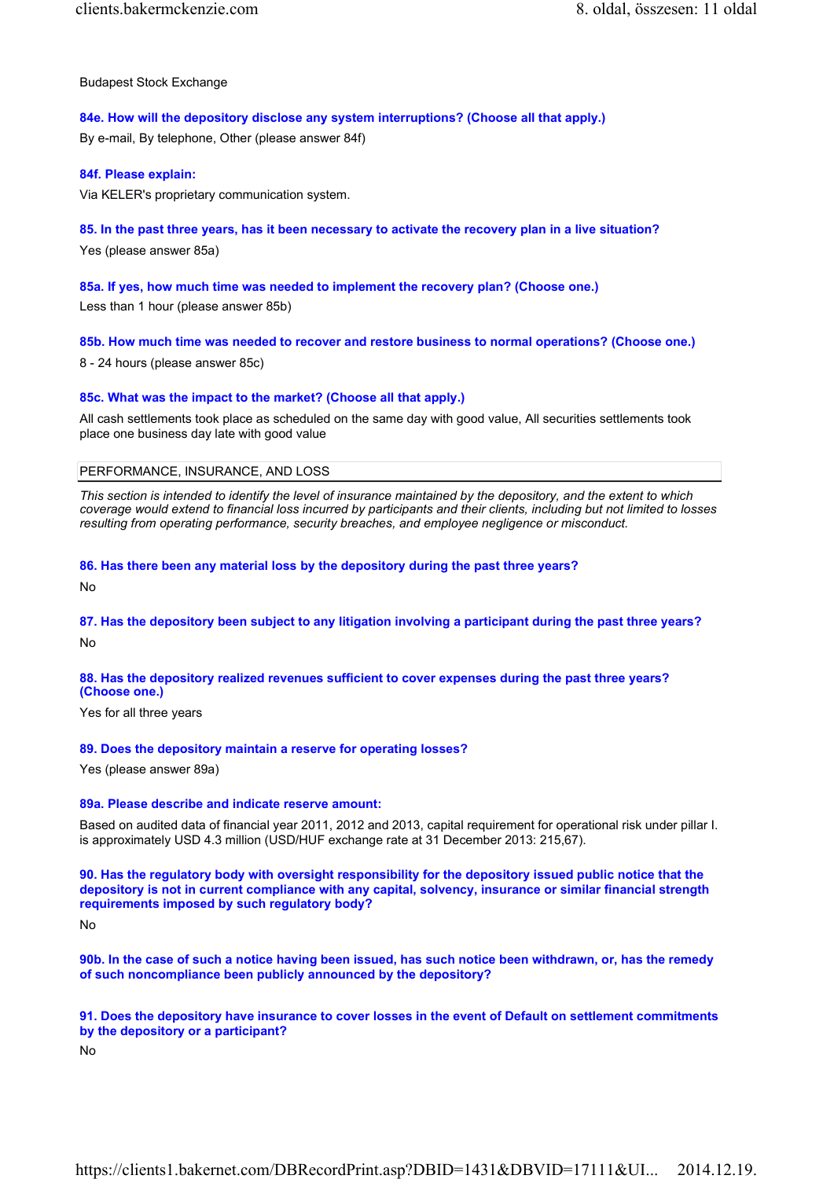Budapest Stock Exchange

# 84e. How will the depository disclose any system interruptions? (Choose all that apply.)

By e-mail, By telephone, Other (please answer 84f)

## 84f. Please explain:

Via KELER's proprietary communication system.

# 85. In the past three years, has it been necessary to activate the recovery plan in a live situation?

Yes (please answer 85a)

# 85a. If yes, how much time was needed to implement the recovery plan? (Choose one.)

Less than 1 hour (please answer 85b)

## 85b. How much time was needed to recover and restore business to normal operations? (Choose one.)

8 - 24 hours (please answer 85c)

## 85c. What was the impact to the market? (Choose all that apply.)

All cash settlements took place as scheduled on the same day with good value, All securities settlements took place one business day late with good value

# PERFORMANCE, INSURANCE, AND LOSS

This section is intended to identify the level of insurance maintained by the depository, and the extent to which coverage would extend to financial loss incurred by participants and their clients, including but not limited to losses resulting from operating performance, security breaches, and employee negligence or misconduct.

## 86. Has there been any material loss by the depository during the past three years?

No

# 87. Has the depository been subject to any litigation involving a participant during the past three years? No

# 88. Has the depository realized revenues sufficient to cover expenses during the past three years? (Choose one.)

Yes for all three years

## 89. Does the depository maintain a reserve for operating losses?

Yes (please answer 89a)

## 89a. Please describe and indicate reserve amount:

Based on audited data of financial year 2011, 2012 and 2013, capital requirement for operational risk under pillar I. is approximately USD 4.3 million (USD/HUF exchange rate at 31 December 2013: 215,67).

90. Has the regulatory body with oversight responsibility for the depository issued public notice that the depository is not in current compliance with any capital, solvency, insurance or similar financial strength requirements imposed by such regulatory body?

No

90b. In the case of such a notice having been issued, has such notice been withdrawn, or, has the remedy of such noncompliance been publicly announced by the depository?

91. Does the depository have insurance to cover losses in the event of Default on settlement commitments by the depository or a participant?

No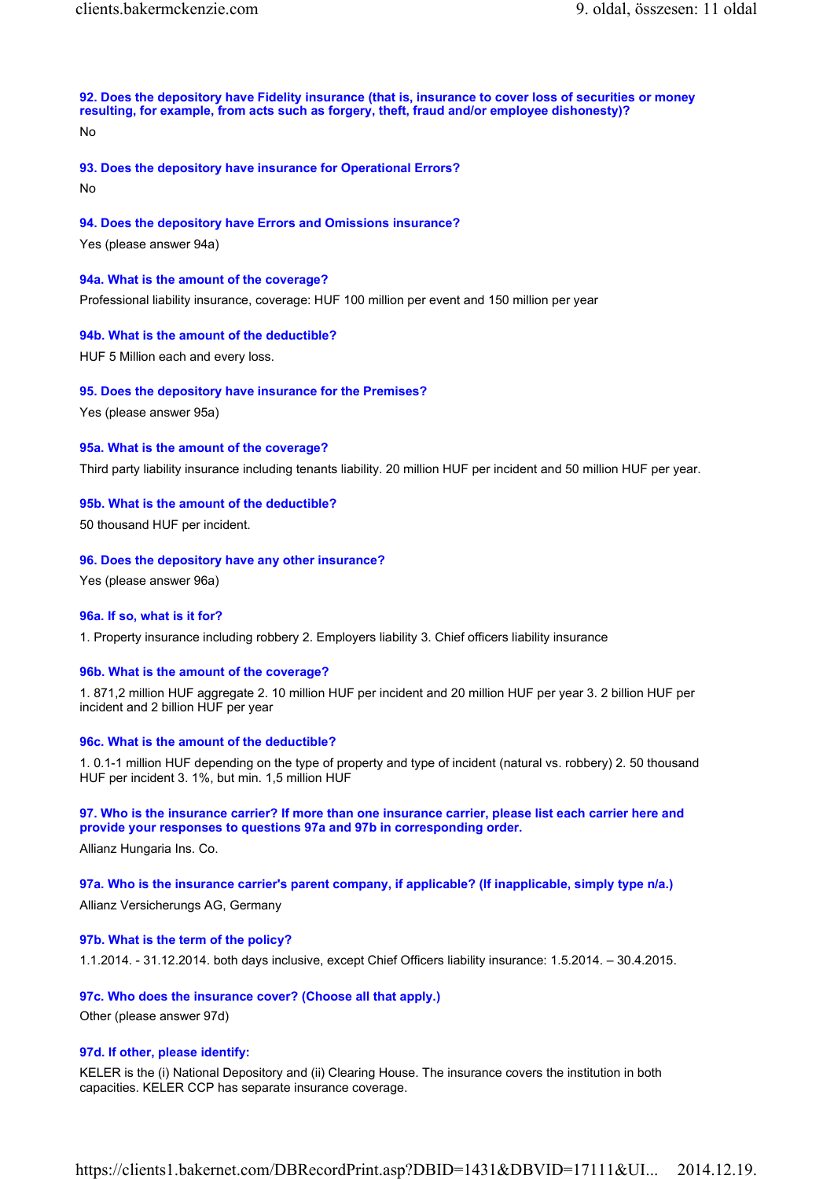92. Does the depository have Fidelity insurance (that is, insurance to cover loss of securities or money resulting, for example, from acts such as forgery, theft, fraud and/or employee dishonesty)?

No

93. Does the depository have insurance for Operational Errors?

No

## 94. Does the depository have Errors and Omissions insurance?

Yes (please answer 94a)

#### 94a. What is the amount of the coverage?

Professional liability insurance, coverage: HUF 100 million per event and 150 million per year

## 94b. What is the amount of the deductible?

HUF 5 Million each and every loss.

## 95. Does the depository have insurance for the Premises?

Yes (please answer 95a)

#### 95a. What is the amount of the coverage?

Third party liability insurance including tenants liability. 20 million HUF per incident and 50 million HUF per year.

#### 95b. What is the amount of the deductible?

50 thousand HUF per incident.

#### 96. Does the depository have any other insurance?

Yes (please answer 96a)

#### 96a. If so, what is it for?

1. Property insurance including robbery 2. Employers liability 3. Chief officers liability insurance

## 96b. What is the amount of the coverage?

1. 871,2 million HUF aggregate 2. 10 million HUF per incident and 20 million HUF per year 3. 2 billion HUF per incident and 2 billion HUF per year

## 96c. What is the amount of the deductible?

1. 0.1-1 million HUF depending on the type of property and type of incident (natural vs. robbery) 2. 50 thousand HUF per incident 3. 1%, but min. 1,5 million HUF

#### 97. Who is the insurance carrier? If more than one insurance carrier, please list each carrier here and provide your responses to questions 97a and 97b in corresponding order.

Allianz Hungaria Ins. Co.

## 97a. Who is the insurance carrier's parent company, if applicable? (If inapplicable, simply type n/a.)

Allianz Versicherungs AG, Germany

## 97b. What is the term of the policy?

1.1.2014. - 31.12.2014. both days inclusive, except Chief Officers liability insurance: 1.5.2014. – 30.4.2015.

#### 97c. Who does the insurance cover? (Choose all that apply.)

Other (please answer 97d)

#### 97d. If other, please identify:

KELER is the (i) National Depository and (ii) Clearing House. The insurance covers the institution in both capacities. KELER CCP has separate insurance coverage.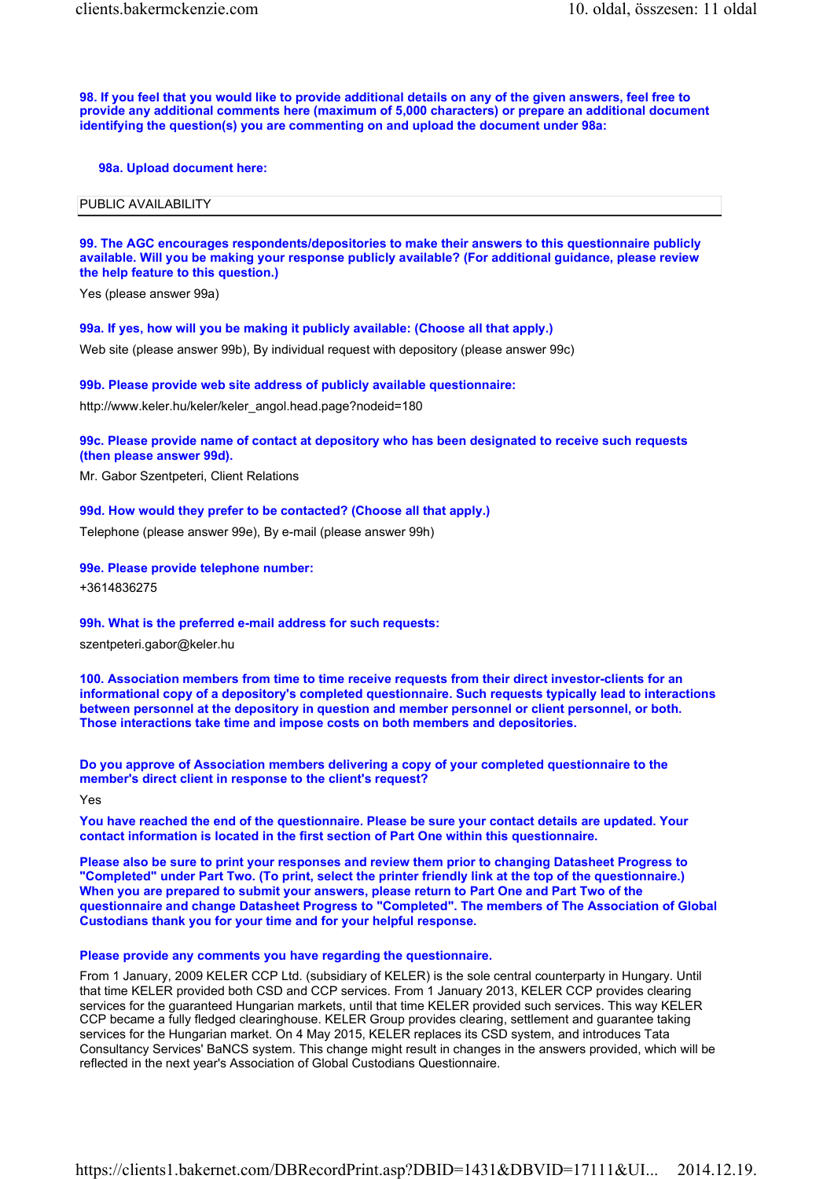98. If you feel that you would like to provide additional details on any of the given answers, feel free to provide any additional comments here (maximum of 5,000 characters) or prepare an additional document identifying the question(s) you are commenting on and upload the document under 98a:

#### 98a. Upload document here:

#### PUBLIC AVAILABILITY

## 99. The AGC encourages respondents/depositories to make their answers to this questionnaire publicly available. Will you be making your response publicly available? (For additional guidance, please review the help feature to this question.)

Yes (please answer 99a)

#### 99a. If yes, how will you be making it publicly available: (Choose all that apply.)

Web site (please answer 99b), By individual request with depository (please answer 99c)

#### 99b. Please provide web site address of publicly available questionnaire:

http://www.keler.hu/keler/keler\_angol.head.page?nodeid=180

99c. Please provide name of contact at depository who has been designated to receive such requests (then please answer 99d).

Mr. Gabor Szentpeteri, Client Relations

## 99d. How would they prefer to be contacted? (Choose all that apply.)

Telephone (please answer 99e), By e-mail (please answer 99h)

#### 99e. Please provide telephone number:

+3614836275

#### 99h. What is the preferred e-mail address for such requests:

szentpeteri.gabor@keler.hu

100. Association members from time to time receive requests from their direct investor-clients for an informational copy of a depository's completed questionnaire. Such requests typically lead to interactions between personnel at the depository in question and member personnel or client personnel, or both. Those interactions take time and impose costs on both members and depositories.

Do you approve of Association members delivering a copy of your completed questionnaire to the member's direct client in response to the client's request?

Yes

You have reached the end of the questionnaire. Please be sure your contact details are updated. Your contact information is located in the first section of Part One within this questionnaire.

Please also be sure to print your responses and review them prior to changing Datasheet Progress to "Completed" under Part Two. (To print, select the printer friendly link at the top of the questionnaire.) When you are prepared to submit your answers, please return to Part One and Part Two of the questionnaire and change Datasheet Progress to "Completed". The members of The Association of Global Custodians thank you for your time and for your helpful response.

#### Please provide any comments you have regarding the questionnaire.

From 1 January, 2009 KELER CCP Ltd. (subsidiary of KELER) is the sole central counterparty in Hungary. Until that time KELER provided both CSD and CCP services. From 1 January 2013, KELER CCP provides clearing services for the guaranteed Hungarian markets, until that time KELER provided such services. This way KELER CCP became a fully fledged clearinghouse. KELER Group provides clearing, settlement and guarantee taking services for the Hungarian market. On 4 May 2015, KELER replaces its CSD system, and introduces Tata Consultancy Services' BaNCS system. This change might result in changes in the answers provided, which will be reflected in the next year's Association of Global Custodians Questionnaire.